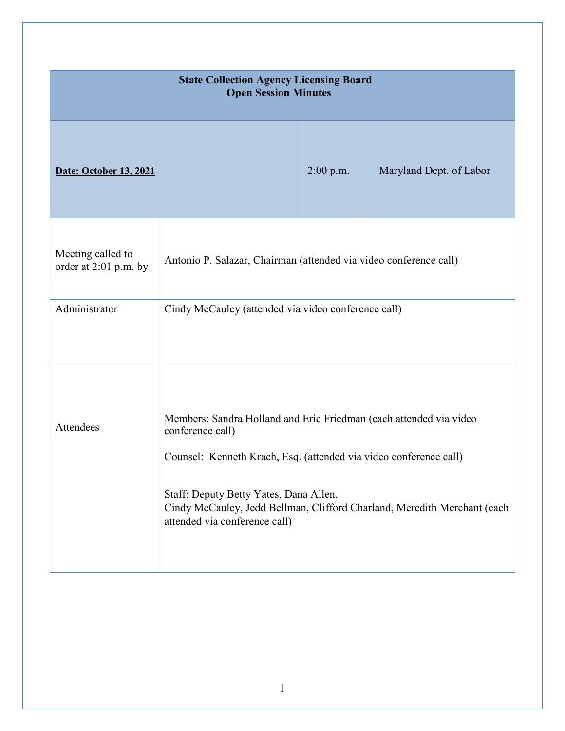| <b>State Collection Agency Licensing Board</b><br><b>Open Session Minutes</b> |                                                                                                                                                                                                                                                                                                                    |             |                         |
|-------------------------------------------------------------------------------|--------------------------------------------------------------------------------------------------------------------------------------------------------------------------------------------------------------------------------------------------------------------------------------------------------------------|-------------|-------------------------|
| <b>Date: October 13, 2021</b>                                                 |                                                                                                                                                                                                                                                                                                                    | $2:00$ p.m. | Maryland Dept. of Labor |
| Meeting called to<br>order at 2:01 p.m. by                                    | Antonio P. Salazar, Chairman (attended via video conference call)                                                                                                                                                                                                                                                  |             |                         |
| Administrator                                                                 | Cindy McCauley (attended via video conference call)                                                                                                                                                                                                                                                                |             |                         |
| Attendees                                                                     | Members: Sandra Holland and Eric Friedman (each attended via video<br>conference call)<br>Counsel: Kenneth Krach, Esq. (attended via video conference call)<br>Staff: Deputy Betty Yates, Dana Allen,<br>Cindy McCauley, Jedd Bellman, Clifford Charland, Meredith Merchant (each<br>attended via conference call) |             |                         |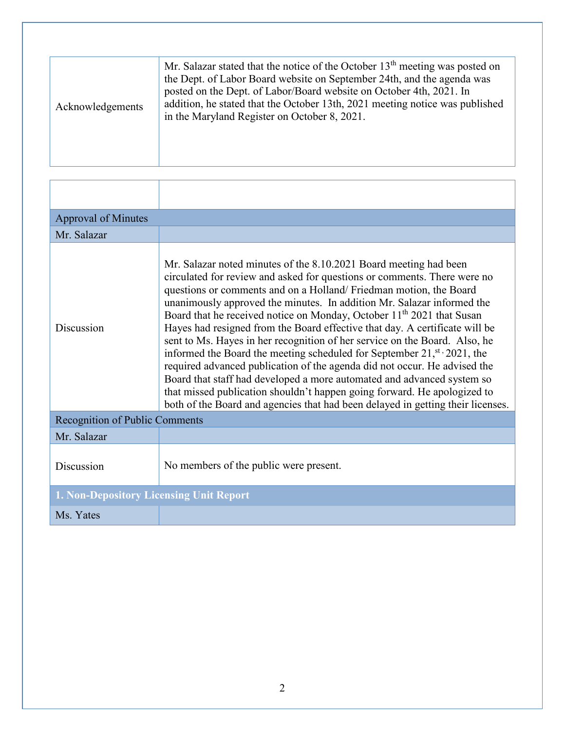| Acknowledgements | Mr. Salazar stated that the notice of the October 13 <sup>th</sup> meeting was posted on<br>the Dept. of Labor Board website on September 24th, and the agenda was<br>posted on the Dept. of Labor/Board website on October 4th, 2021. In<br>addition, he stated that the October 13th, 2021 meeting notice was published<br>in the Maryland Register on October 8, 2021. |
|------------------|---------------------------------------------------------------------------------------------------------------------------------------------------------------------------------------------------------------------------------------------------------------------------------------------------------------------------------------------------------------------------|

| <b>Approval of Minutes</b>              |                                                                                                                                                                                                                                                                                                                                                                                                                                                                                                                                                                                                                                                                                                                                                                                                                                                                                                                                                                 |
|-----------------------------------------|-----------------------------------------------------------------------------------------------------------------------------------------------------------------------------------------------------------------------------------------------------------------------------------------------------------------------------------------------------------------------------------------------------------------------------------------------------------------------------------------------------------------------------------------------------------------------------------------------------------------------------------------------------------------------------------------------------------------------------------------------------------------------------------------------------------------------------------------------------------------------------------------------------------------------------------------------------------------|
| Mr. Salazar                             |                                                                                                                                                                                                                                                                                                                                                                                                                                                                                                                                                                                                                                                                                                                                                                                                                                                                                                                                                                 |
| Discussion                              | Mr. Salazar noted minutes of the 8.10.2021 Board meeting had been<br>circulated for review and asked for questions or comments. There were no<br>questions or comments and on a Holland/Friedman motion, the Board<br>unanimously approved the minutes. In addition Mr. Salazar informed the<br>Board that he received notice on Monday, October 11 <sup>th</sup> 2021 that Susan<br>Hayes had resigned from the Board effective that day. A certificate will be<br>sent to Ms. Hayes in her recognition of her service on the Board. Also, he<br>informed the Board the meeting scheduled for September 21, $\mathbf{S}^{t}$ , 2021, the<br>required advanced publication of the agenda did not occur. He advised the<br>Board that staff had developed a more automated and advanced system so<br>that missed publication shouldn't happen going forward. He apologized to<br>both of the Board and agencies that had been delayed in getting their licenses. |
| Recognition of Public Comments          |                                                                                                                                                                                                                                                                                                                                                                                                                                                                                                                                                                                                                                                                                                                                                                                                                                                                                                                                                                 |
| Mr. Salazar                             |                                                                                                                                                                                                                                                                                                                                                                                                                                                                                                                                                                                                                                                                                                                                                                                                                                                                                                                                                                 |
| Discussion                              | No members of the public were present.                                                                                                                                                                                                                                                                                                                                                                                                                                                                                                                                                                                                                                                                                                                                                                                                                                                                                                                          |
| 1. Non-Depository Licensing Unit Report |                                                                                                                                                                                                                                                                                                                                                                                                                                                                                                                                                                                                                                                                                                                                                                                                                                                                                                                                                                 |
| Ms. Yates                               |                                                                                                                                                                                                                                                                                                                                                                                                                                                                                                                                                                                                                                                                                                                                                                                                                                                                                                                                                                 |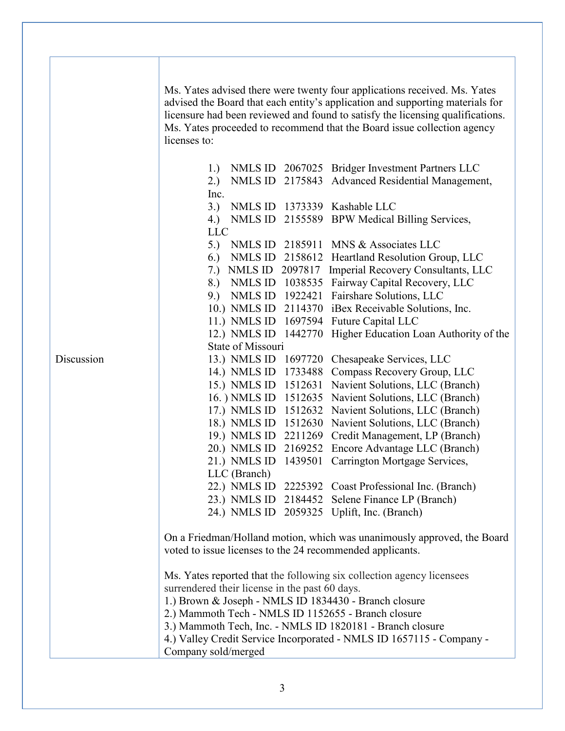|            | Ms. Yates advised there were twenty four applications received. Ms. Yates                                    |
|------------|--------------------------------------------------------------------------------------------------------------|
|            | advised the Board that each entity's application and supporting materials for                                |
|            | licensure had been reviewed and found to satisfy the licensing qualifications.                               |
|            | Ms. Yates proceeded to recommend that the Board issue collection agency                                      |
|            | licenses to:                                                                                                 |
|            |                                                                                                              |
|            | NMLS ID 2067025 Bridger Investment Partners LLC<br>1.)                                                       |
|            | NMLS ID 2175843 Advanced Residential Management,<br>2.)                                                      |
|            | Inc.                                                                                                         |
|            | 3.) NMLS ID 1373339 Kashable LLC                                                                             |
|            | 4.) NMLS ID 2155589 BPW Medical Billing Services,                                                            |
|            | <b>LLC</b>                                                                                                   |
|            | 5.) NMLS ID 2185911 MNS & Associates LLC                                                                     |
|            | NMLS ID 2158612 Heartland Resolution Group, LLC<br>6.)                                                       |
|            | 7.) NMLS ID 2097817<br>Imperial Recovery Consultants, LLC                                                    |
|            | 8.) NMLS ID 1038535 Fairway Capital Recovery, LLC                                                            |
|            | 9.) NMLS ID 1922421 Fairshare Solutions, LLC                                                                 |
|            | 10.) NMLS ID<br>2114370 iBex Receivable Solutions, Inc.                                                      |
|            | 11.) NMLS ID<br>1697594 Future Capital LLC                                                                   |
|            | 12.) NMLS ID<br>1442770 Higher Education Loan Authority of the                                               |
| Discussion | State of Missouri                                                                                            |
|            | 13.) NMLS ID 1697720 Chesapeake Services, LLC                                                                |
|            | 14.) NMLS ID 1733488 Compass Recovery Group, LLC                                                             |
|            | 15.) NMLS ID 1512631 Navient Solutions, LLC (Branch)                                                         |
|            | 16. ) NMLS ID<br>1512635 Navient Solutions, LLC (Branch)                                                     |
|            | 17.) NMLS ID<br>1512632 Navient Solutions, LLC (Branch)                                                      |
|            | 18.) NMLS ID 1512630 Navient Solutions, LLC (Branch)                                                         |
|            | 19.) NMLS ID<br>2211269 Credit Management, LP (Branch)<br>20.) NMLS ID 2169252 Encore Advantage LLC (Branch) |
|            | 21.) NMLS ID 1439501 Carrington Mortgage Services,                                                           |
|            | LLC (Branch)                                                                                                 |
|            | 22.) NMLS ID 2225392 Coast Professional Inc. (Branch)                                                        |
|            | 23.) NMLS ID 2184452 Selene Finance LP (Branch)                                                              |
|            | 24.) NMLS ID 2059325 Uplift, Inc. (Branch)                                                                   |
|            |                                                                                                              |
|            | On a Friedman/Holland motion, which was unanimously approved, the Board                                      |
|            | voted to issue licenses to the 24 recommended applicants.                                                    |
|            |                                                                                                              |
|            | Ms. Yates reported that the following six collection agency licensees                                        |
|            | surrendered their license in the past 60 days.                                                               |
|            | 1.) Brown & Joseph - NMLS ID 1834430 - Branch closure                                                        |
|            | 2.) Mammoth Tech - NMLS ID 1152655 - Branch closure                                                          |
|            | 3.) Mammoth Tech, Inc. - NMLS ID 1820181 - Branch closure                                                    |
|            | 4.) Valley Credit Service Incorporated - NMLS ID 1657115 - Company -                                         |
|            | Company sold/merged                                                                                          |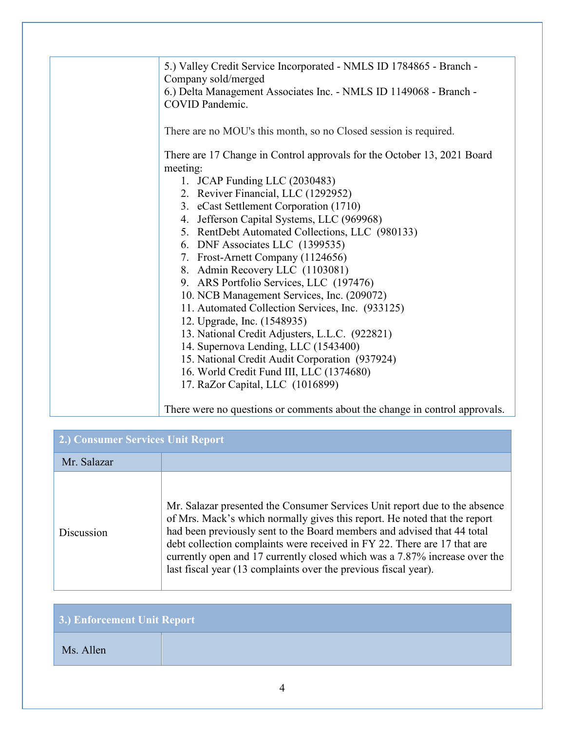| 5.) Valley Credit Service Incorporated - NMLS ID 1784865 - Branch -<br>Company sold/merged |
|--------------------------------------------------------------------------------------------|
| 6.) Delta Management Associates Inc. - NMLS ID 1149068 - Branch -<br>COVID Pandemic.       |
| There are no MOU's this month, so no Closed session is required.                           |
| There are 17 Change in Control approvals for the October 13, 2021 Board<br>meeting:        |
| 1. JCAP Funding LLC (2030483)                                                              |
| 2. Reviver Financial, LLC (1292952)                                                        |
| 3. eCast Settlement Corporation (1710)                                                     |
| 4. Jefferson Capital Systems, LLC (969968)                                                 |
| 5. RentDebt Automated Collections, LLC (980133)                                            |
| 6. DNF Associates LLC (1399535)                                                            |
| 7. Frost-Arnett Company (1124656)                                                          |
| 8. Admin Recovery LLC (1103081)                                                            |
| 9. ARS Portfolio Services, LLC (197476)                                                    |
| 10. NCB Management Services, Inc. (209072)                                                 |
| 11. Automated Collection Services, Inc. (933125)                                           |
| 12. Upgrade, Inc. (1548935)                                                                |
| 13. National Credit Adjusters, L.L.C. (922821)                                             |
| 14. Supernova Lending, LLC (1543400)                                                       |
| 15. National Credit Audit Corporation (937924)                                             |
| 16. World Credit Fund III, LLC (1374680)                                                   |
| 17. RaZor Capital, LLC (1016899)                                                           |
| There were no questions or comments about the change in control approvals.                 |

| <b>2.) Consumer Services Unit Report</b> |                                                                                                                                                                                                                                                                                                                                                                                                                                                                 |  |
|------------------------------------------|-----------------------------------------------------------------------------------------------------------------------------------------------------------------------------------------------------------------------------------------------------------------------------------------------------------------------------------------------------------------------------------------------------------------------------------------------------------------|--|
| Mr. Salazar                              |                                                                                                                                                                                                                                                                                                                                                                                                                                                                 |  |
| Discussion                               | Mr. Salazar presented the Consumer Services Unit report due to the absence<br>of Mrs. Mack's which normally gives this report. He noted that the report<br>had been previously sent to the Board members and advised that 44 total<br>debt collection complaints were received in FY 22. There are 17 that are<br>currently open and 17 currently closed which was a 7.87% increase over the<br>last fiscal year (13 complaints over the previous fiscal year). |  |

| 3.) Enforcement Unit Report |  |  |
|-----------------------------|--|--|
| Ms. Allen                   |  |  |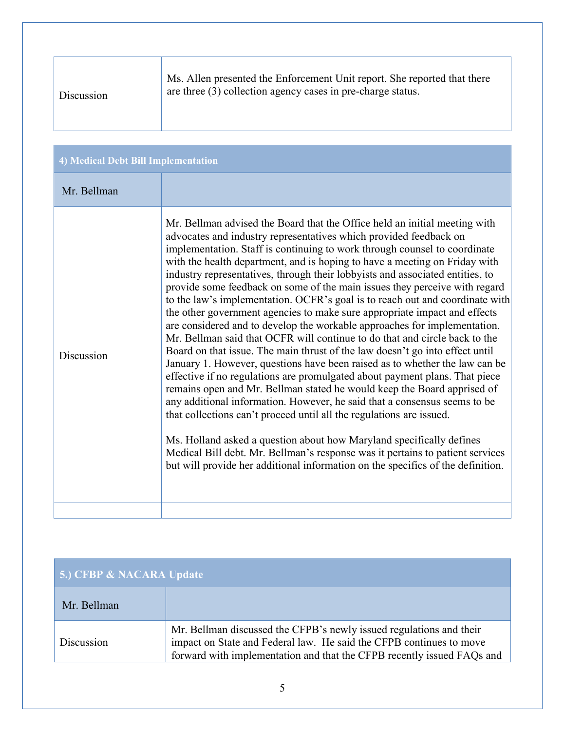| 4) Medical Debt Bill Implementation<br>Mr. Bellman<br>Mr. Bellman advised the Board that the Office held an initial meeting with<br>advocates and industry representatives which provided feedback on<br>implementation. Staff is continuing to work through counsel to coordinate<br>with the health department, and is hoping to have a meeting on Friday with<br>industry representatives, through their lobbyists and associated entities, to<br>provide some feedback on some of the main issues they perceive with regard<br>the other government agencies to make sure appropriate impact and effects<br>are considered and to develop the workable approaches for implementation.<br>Mr. Bellman said that OCFR will continue to do that and circle back to the<br>Board on that issue. The main thrust of the law doesn't go into effect until<br>Discussion<br>January 1. However, questions have been raised as to whether the law can be<br>effective if no regulations are promulgated about payment plans. That piece<br>remains open and Mr. Bellman stated he would keep the Board apprised of<br>any additional information. However, he said that a consensus seems to be<br>that collections can't proceed until all the regulations are issued.<br>Ms. Holland asked a question about how Maryland specifically defines<br>Medical Bill debt. Mr. Bellman's response was it pertains to patient services<br>but will provide her additional information on the specifics of the definition. | Discussion | Ms. Allen presented the Enforcement Unit report. She reported that there<br>are three $(3)$ collection agency cases in pre-charge status. |
|-----------------------------------------------------------------------------------------------------------------------------------------------------------------------------------------------------------------------------------------------------------------------------------------------------------------------------------------------------------------------------------------------------------------------------------------------------------------------------------------------------------------------------------------------------------------------------------------------------------------------------------------------------------------------------------------------------------------------------------------------------------------------------------------------------------------------------------------------------------------------------------------------------------------------------------------------------------------------------------------------------------------------------------------------------------------------------------------------------------------------------------------------------------------------------------------------------------------------------------------------------------------------------------------------------------------------------------------------------------------------------------------------------------------------------------------------------------------------------------------------------------------|------------|-------------------------------------------------------------------------------------------------------------------------------------------|
|                                                                                                                                                                                                                                                                                                                                                                                                                                                                                                                                                                                                                                                                                                                                                                                                                                                                                                                                                                                                                                                                                                                                                                                                                                                                                                                                                                                                                                                                                                                 |            |                                                                                                                                           |
|                                                                                                                                                                                                                                                                                                                                                                                                                                                                                                                                                                                                                                                                                                                                                                                                                                                                                                                                                                                                                                                                                                                                                                                                                                                                                                                                                                                                                                                                                                                 |            |                                                                                                                                           |
|                                                                                                                                                                                                                                                                                                                                                                                                                                                                                                                                                                                                                                                                                                                                                                                                                                                                                                                                                                                                                                                                                                                                                                                                                                                                                                                                                                                                                                                                                                                 |            | to the law's implementation. OCFR's goal is to reach out and coordinate with                                                              |

| 5.) CFBP & NACARA Update |                                                                                                                                                                                                                      |
|--------------------------|----------------------------------------------------------------------------------------------------------------------------------------------------------------------------------------------------------------------|
| Mr. Bellman              |                                                                                                                                                                                                                      |
| Discussion               | Mr. Bellman discussed the CFPB's newly issued regulations and their<br>impact on State and Federal law. He said the CFPB continues to move<br>forward with implementation and that the CFPB recently issued FAQs and |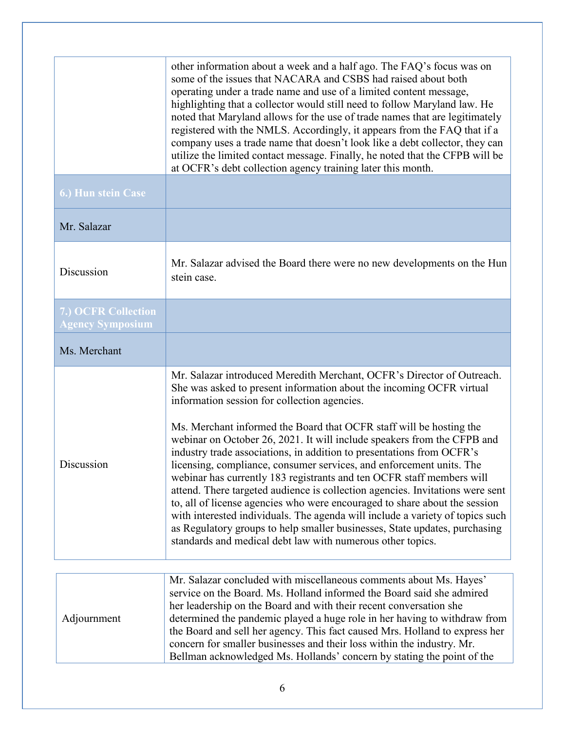|                                                | other information about a week and a half ago. The FAQ's focus was on<br>some of the issues that NACARA and CSBS had raised about both<br>operating under a trade name and use of a limited content message,<br>highlighting that a collector would still need to follow Maryland law. He<br>noted that Maryland allows for the use of trade names that are legitimately<br>registered with the NMLS. Accordingly, it appears from the FAQ that if a<br>company uses a trade name that doesn't look like a debt collector, they can<br>utilize the limited contact message. Finally, he noted that the CFPB will be<br>at OCFR's debt collection agency training later this month.                                                                                                                                                                                                                                                                                     |
|------------------------------------------------|------------------------------------------------------------------------------------------------------------------------------------------------------------------------------------------------------------------------------------------------------------------------------------------------------------------------------------------------------------------------------------------------------------------------------------------------------------------------------------------------------------------------------------------------------------------------------------------------------------------------------------------------------------------------------------------------------------------------------------------------------------------------------------------------------------------------------------------------------------------------------------------------------------------------------------------------------------------------|
| 6.) Hun stein Case                             |                                                                                                                                                                                                                                                                                                                                                                                                                                                                                                                                                                                                                                                                                                                                                                                                                                                                                                                                                                        |
| Mr. Salazar                                    |                                                                                                                                                                                                                                                                                                                                                                                                                                                                                                                                                                                                                                                                                                                                                                                                                                                                                                                                                                        |
| Discussion                                     | Mr. Salazar advised the Board there were no new developments on the Hun<br>stein case.                                                                                                                                                                                                                                                                                                                                                                                                                                                                                                                                                                                                                                                                                                                                                                                                                                                                                 |
| 7.) OCFR Collection<br><b>Agency Symposium</b> |                                                                                                                                                                                                                                                                                                                                                                                                                                                                                                                                                                                                                                                                                                                                                                                                                                                                                                                                                                        |
| Ms. Merchant                                   |                                                                                                                                                                                                                                                                                                                                                                                                                                                                                                                                                                                                                                                                                                                                                                                                                                                                                                                                                                        |
| Discussion                                     | Mr. Salazar introduced Meredith Merchant, OCFR's Director of Outreach.<br>She was asked to present information about the incoming OCFR virtual<br>information session for collection agencies.<br>Ms. Merchant informed the Board that OCFR staff will be hosting the<br>webinar on October 26, 2021. It will include speakers from the CFPB and<br>industry trade associations, in addition to presentations from OCFR's<br>licensing, compliance, consumer services, and enforcement units. The<br>webinar has currently 183 registrants and ten OCFR staff members will<br>attend. There targeted audience is collection agencies. Invitations were sent<br>to, all of license agencies who were encouraged to share about the session<br>with interested individuals. The agenda will include a variety of topics such<br>as Regulatory groups to help smaller businesses, State updates, purchasing<br>standards and medical debt law with numerous other topics. |
| Adjournment                                    | Mr. Salazar concluded with miscellaneous comments about Ms. Hayes'<br>service on the Board. Ms. Holland informed the Board said she admired<br>her leadership on the Board and with their recent conversation she<br>determined the pandemic played a huge role in her having to withdraw from<br>the Board and sell her agency. This fact caused Mrs. Holland to express her<br>concern for smaller businesses and their loss within the industry. Mr.<br>Bellman acknowledged Ms. Hollands' concern by stating the point of the                                                                                                                                                                                                                                                                                                                                                                                                                                      |